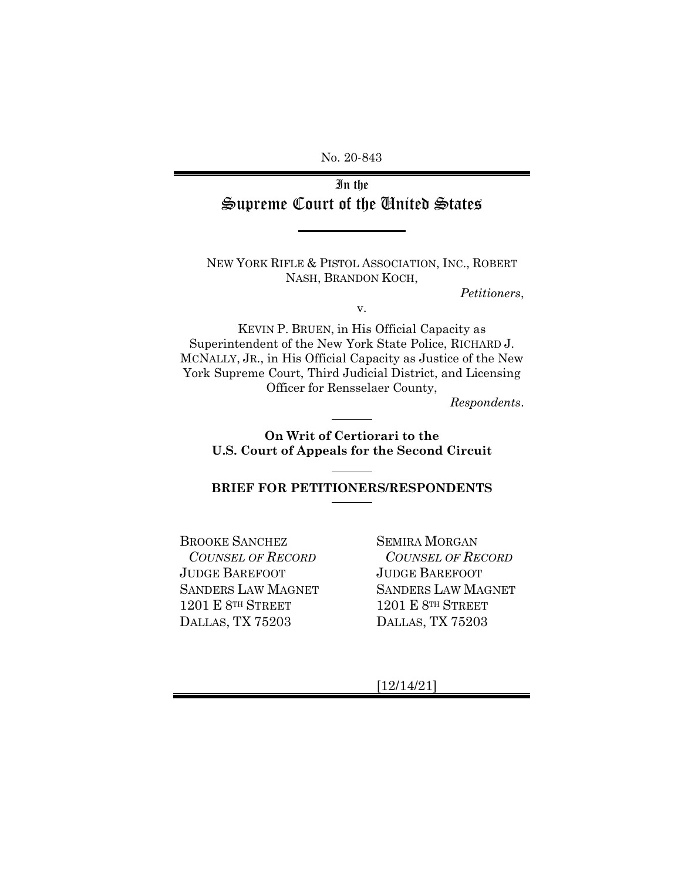No. 20-843

# In the Supreme Court of the United States

NEW YORK RIFLE & PISTOL ASSOCIATION, INC., ROBERT NASH, BRANDON KOCH,

*Petitioners*,

v.

KEVIN P. BRUEN, in His Official Capacity as Superintendent of the New York State Police, RICHARD J. MCNALLY, JR., in His Official Capacity as Justice of the New York Supreme Court, Third Judicial District, and Licensing Officer for Rensselaer County,

*Respondents*.

**On Writ of Certiorari to the U.S. Court of Appeals for the Second Circuit**

**BRIEF FOR PETITIONERS/RESPONDENTS**

BROOKE SANCHEZ *COUNSEL OF RECORD* JUDGE BAREFOOT SANDERS LAW MAGNET 1201 E 8TH STREET DALLAS, TX 75203

SEMIRA MORGAN *COUNSEL OF RECORD* JUDGE BAREFOOT SANDERS LAW MAGNET 1201 E 8TH STREET DALLAS, TX 75203

[12/14/21]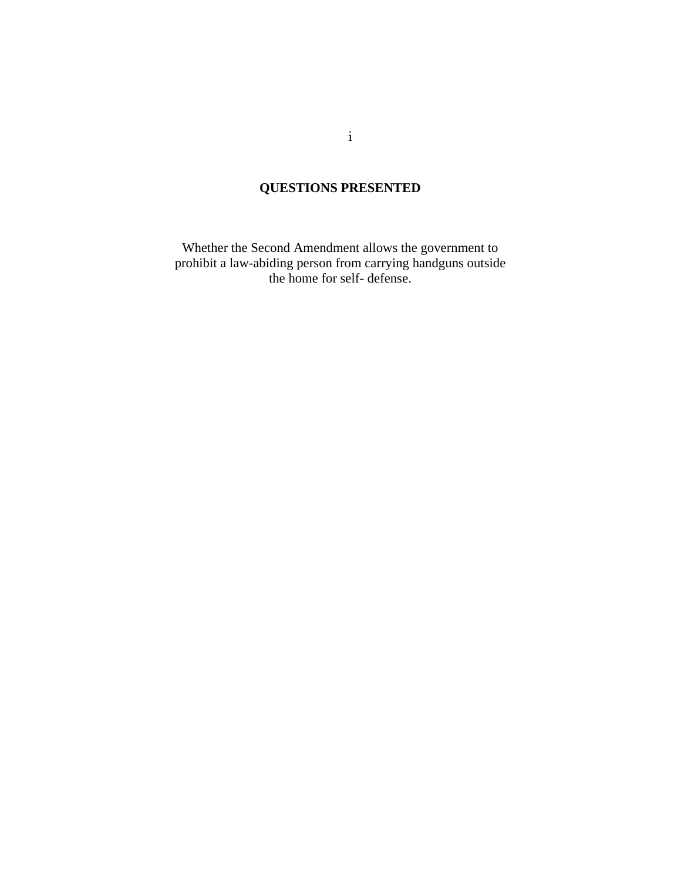# **QUESTIONS PRESENTED**

<span id="page-1-0"></span>Whether the Second Amendment allows the government to prohibit a law-abiding person from carrying handguns outside the home for self- defense.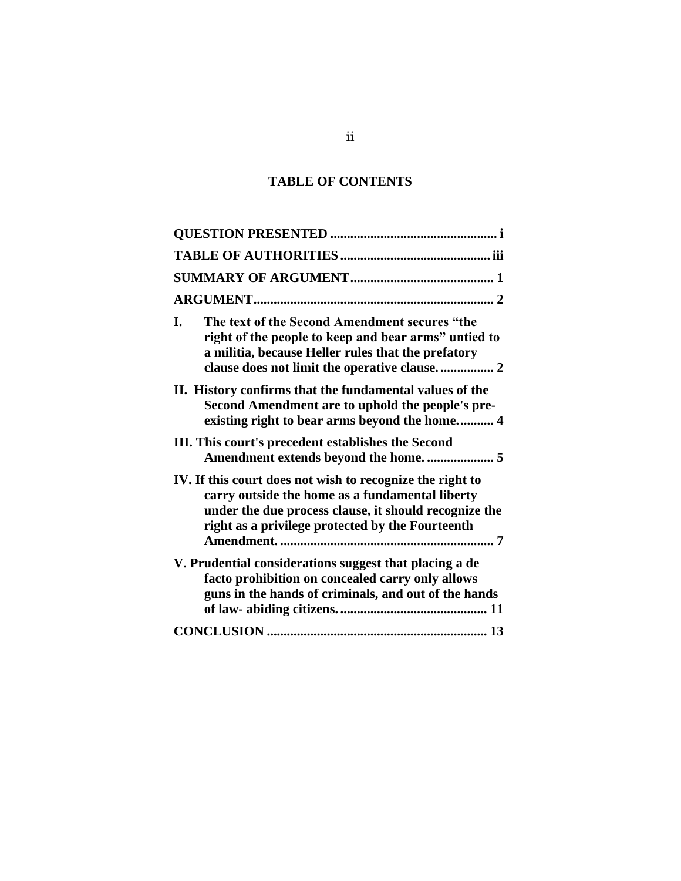## **TABLE OF CONTENTS**

| The text of the Second Amendment secures "the<br>I.<br>right of the people to keep and bear arms" untied to<br>a militia, because Heller rules that the prefatory                                                         |
|---------------------------------------------------------------------------------------------------------------------------------------------------------------------------------------------------------------------------|
| II. History confirms that the fundamental values of the<br>Second Amendment are to uphold the people's pre-<br>existing right to bear arms beyond the home 4                                                              |
| III. This court's precedent establishes the Second                                                                                                                                                                        |
| IV. If this court does not wish to recognize the right to<br>carry outside the home as a fundamental liberty<br>under the due process clause, it should recognize the<br>right as a privilege protected by the Fourteenth |
| V. Prudential considerations suggest that placing a de<br>facto prohibition on concealed carry only allows<br>guns in the hands of criminals, and out of the hands                                                        |
|                                                                                                                                                                                                                           |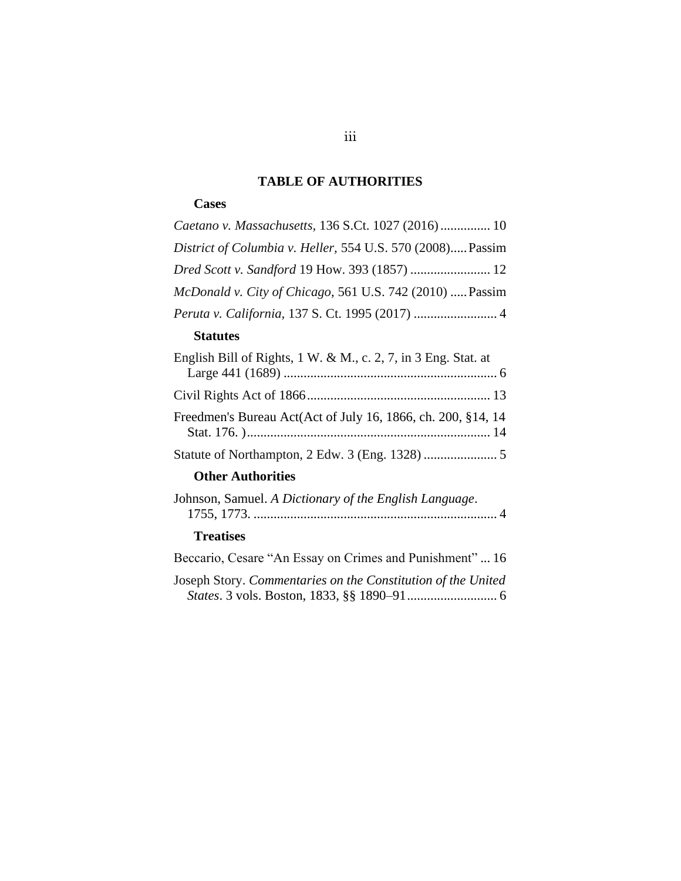## **TABLE OF AUTHORITIES**

## <span id="page-3-0"></span>**Cases**

| Caetano v. Massachusetts, 136 S.Ct. 1027 (2016) 10         |  |
|------------------------------------------------------------|--|
| District of Columbia v. Heller, 554 U.S. 570 (2008) Passim |  |
| Dred Scott v. Sandford 19 How. 393 (1857)  12              |  |
| McDonald v. City of Chicago, 561 U.S. 742 (2010)  Passim   |  |
|                                                            |  |

#### **Statutes**

| English Bill of Rights, $1 \text{ W}$ . & M., c. 2, 7, in 3 Eng. Stat. at |
|---------------------------------------------------------------------------|
|                                                                           |
|                                                                           |
| Freedmen's Bureau Act(Act of July 16, 1866, ch. 200, §14, 14              |
|                                                                           |
| <b>Other Authorities</b>                                                  |

| Johnson, Samuel. A Dictionary of the English Language. |  |
|--------------------------------------------------------|--|
|                                                        |  |
|                                                        |  |

## **Treatises**

| Beccario, Cesare "An Essay on Crimes and Punishment" 16      |
|--------------------------------------------------------------|
| Joseph Story. Commentaries on the Constitution of the United |
|                                                              |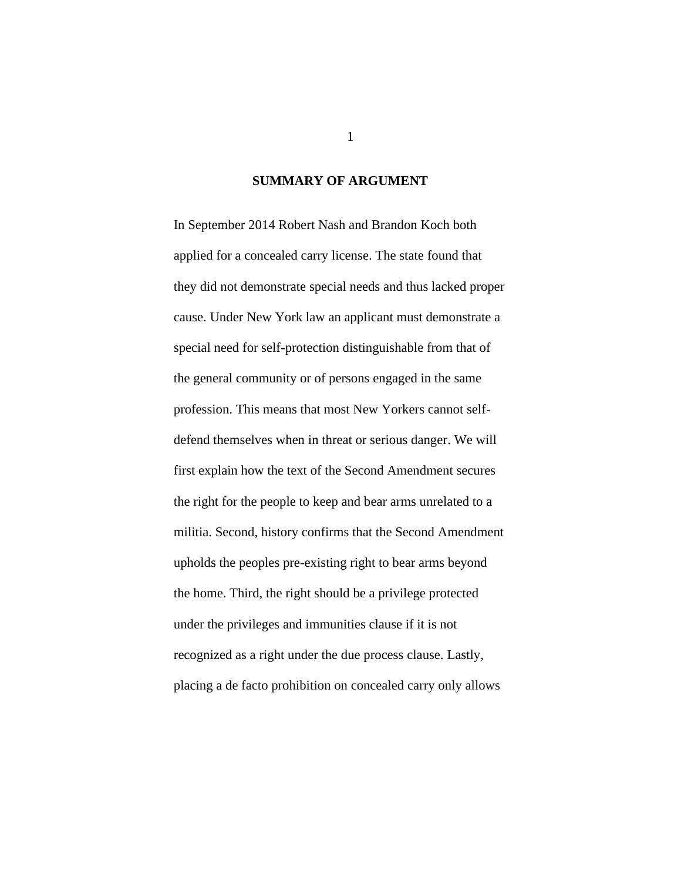#### **SUMMARY OF ARGUMENT**

<span id="page-4-0"></span>In September 2014 Robert Nash and Brandon Koch both applied for a concealed carry license. The state found that they did not demonstrate special needs and thus lacked proper cause. Under New York law an applicant must demonstrate a special need for self-protection distinguishable from that of the general community or of persons engaged in the same profession. This means that most New Yorkers cannot selfdefend themselves when in threat or serious danger. We will first explain how the text of the Second Amendment secures the right for the people to keep and bear arms unrelated to a militia. Second, history confirms that the Second Amendment upholds the peoples pre-existing right to bear arms beyond the home. Third, the right should be a privilege protected under the privileges and immunities clause if it is not recognized as a right under the due process clause. Lastly, placing a de facto prohibition on concealed carry only allows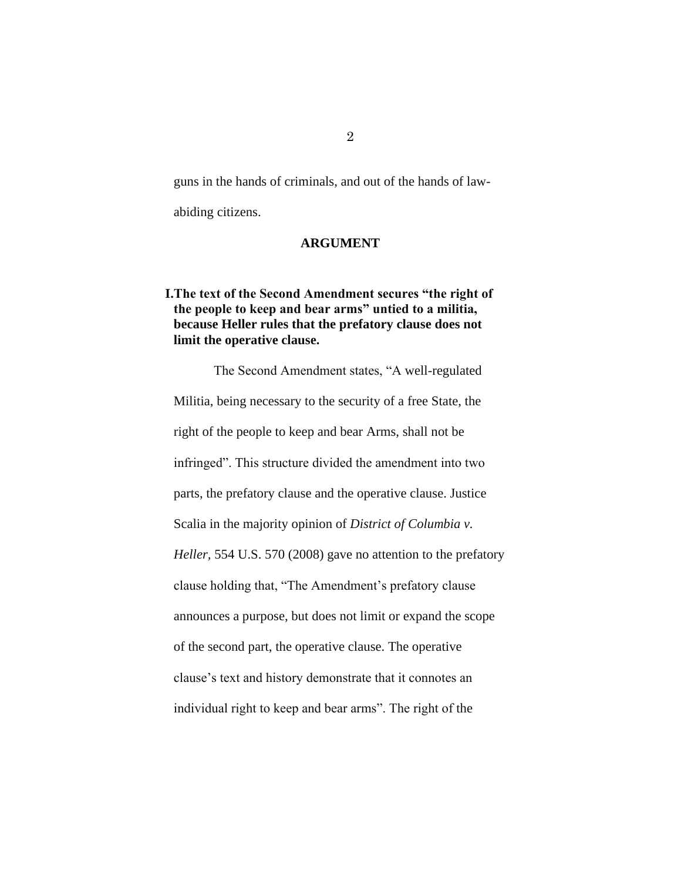guns in the hands of criminals, and out of the hands of law-

<span id="page-5-0"></span>abiding citizens.

#### **ARGUMENT**

## <span id="page-5-1"></span>**I.The text of the Second Amendment secures "the right of the people to keep and bear arms" untied to a militia, because Heller rules that the prefatory clause does not limit the operative clause.**

The Second Amendment states, "A well-regulated Militia, being necessary to the security of a free State, the right of the people to keep and bear Arms, shall not be infringed". This structure divided the amendment into two parts, the prefatory clause and the operative clause. Justice Scalia in the majority opinion of *District of Columbia v. Heller,* 554 U.S. 570 (2008) gave no attention to the prefatory clause holding that, "The Amendment's prefatory clause announces a purpose, but does not limit or expand the scope of the second part, the operative clause. The operative clause's text and history demonstrate that it connotes an individual right to keep and bear arms". The right of the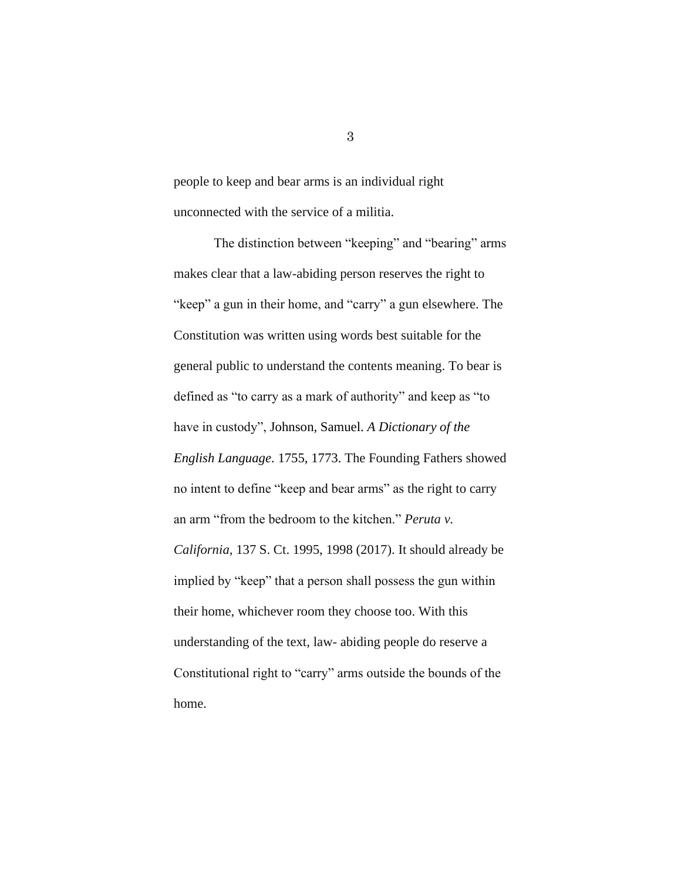people to keep and bear arms is an individual right unconnected with the service of a militia.

The distinction between "keeping" and "bearing" arms makes clear that a law-abiding person reserves the right to "keep" a gun in their home, and "carry" a gun elsewhere. The Constitution was written using words best suitable for the general public to understand the contents meaning. To bear is defined as "to carry as a mark of authority" and keep as "to have in custody", Johnson, Samuel. *A Dictionary of the English Language*. 1755, 1773. The Founding Fathers showed no intent to define "keep and bear arms" as the right to carry an arm "from the bedroom to the kitchen." *Peruta v. California,* 137 S. Ct. 1995, 1998 (2017). It should already be implied by "keep" that a person shall possess the gun within their home, whichever room they choose too. With this understanding of the text, law- abiding people do reserve a Constitutional right to "carry" arms outside the bounds of the home.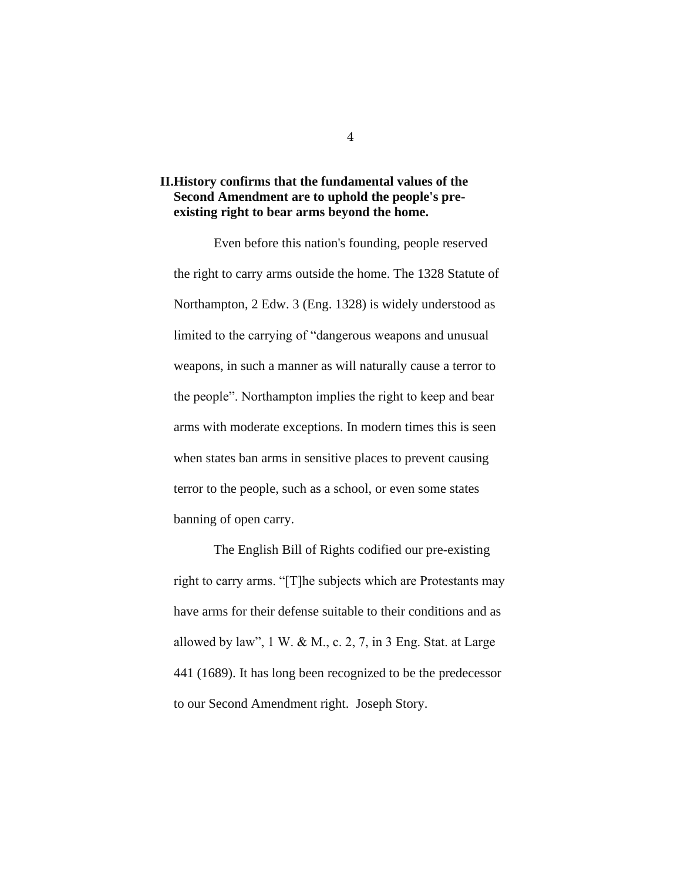## <span id="page-7-0"></span>**II.History confirms that the fundamental values of the Second Amendment are to uphold the people's preexisting right to bear arms beyond the home.**

Even before this nation's founding, people reserved the right to carry arms outside the home. The 1328 Statute of Northampton, 2 Edw. 3 (Eng. 1328) is widely understood as limited to the carrying of "dangerous weapons and unusual weapons, in such a manner as will naturally cause a terror to the people". Northampton implies the right to keep and bear arms with moderate exceptions. In modern times this is seen when states ban arms in sensitive places to prevent causing terror to the people, such as a school, or even some states banning of open carry.

The English Bill of Rights codified our pre-existing right to carry arms. "[T]he subjects which are Protestants may have arms for their defense suitable to their conditions and as allowed by law",  $1 \text{ W}$ . & M., c. 2, 7, in 3 Eng. Stat. at Large 441 (1689). It has long been recognized to be the predecessor to our Second Amendment right. Joseph Story.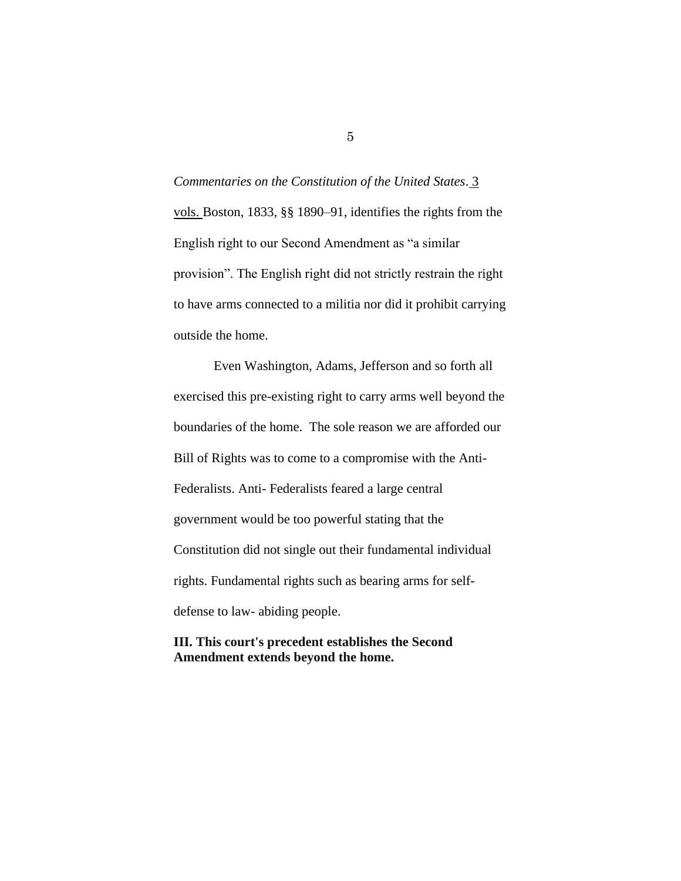*Commentaries on the Constitution of the United States*. [3](https://press-pubs.uchicago.edu/founders/documents/amendIIs10.html)  [vols. B](https://press-pubs.uchicago.edu/founders/documents/amendIIs10.html)oston, 1833, §§ 1890–91, identifies the rights from the English right to our Second Amendment as "a similar provision". The English right did not strictly restrain the right to have arms connected to a militia nor did it prohibit carrying outside the home.

Even Washington, Adams, Jefferson and so forth all exercised this pre-existing right to carry arms well beyond the boundaries of the home. The sole reason we are afforded our Bill of Rights was to come to a compromise with the Anti-Federalists. Anti- Federalists feared a large central government would be too powerful stating that the Constitution did not single out their fundamental individual rights. Fundamental rights such as bearing arms for selfdefense to law- abiding people.

## <span id="page-8-0"></span>**III. This court's precedent establishes the Second Amendment extends beyond the home.**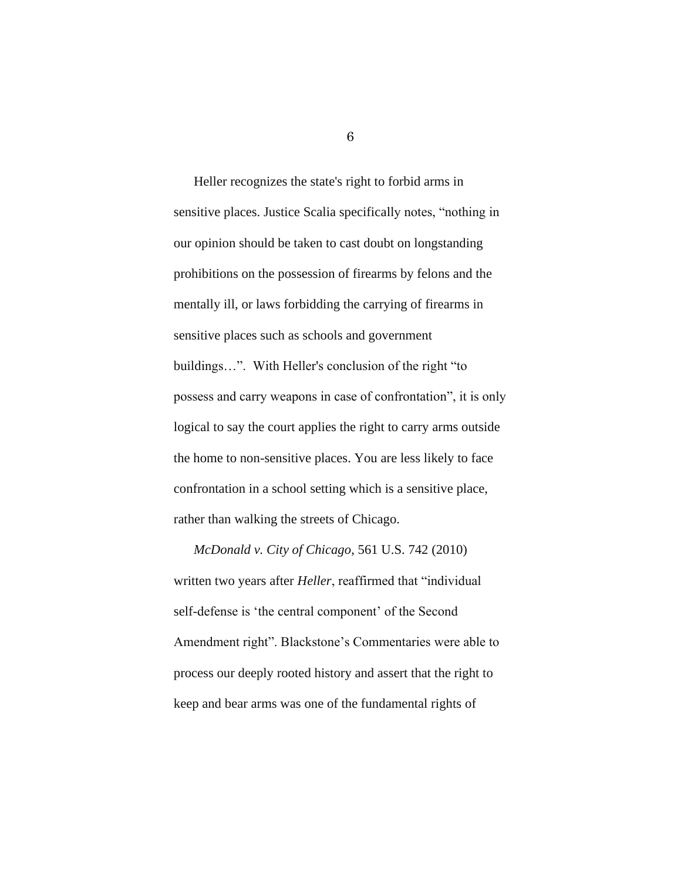Heller recognizes the state's right to forbid arms in sensitive places. Justice Scalia specifically notes, "nothing in our opinion should be taken to cast doubt on longstanding prohibitions on the possession of firearms by felons and the mentally ill, or laws forbidding the carrying of firearms in sensitive places such as schools and government buildings…". With Heller's conclusion of the right "to possess and carry weapons in case of confrontation", it is only logical to say the court applies the right to carry arms outside the home to non-sensitive places. You are less likely to face confrontation in a school setting which is a sensitive place, rather than walking the streets of Chicago.

*McDonald v. City of Chicago*, 561 U.S. 742 (2010) written two years after *Heller*, reaffirmed that "individual self-defense is 'the central component' of the Second Amendment right". Blackstone's Commentaries were able to process our deeply rooted history and assert that the right to keep and bear arms was one of the fundamental rights of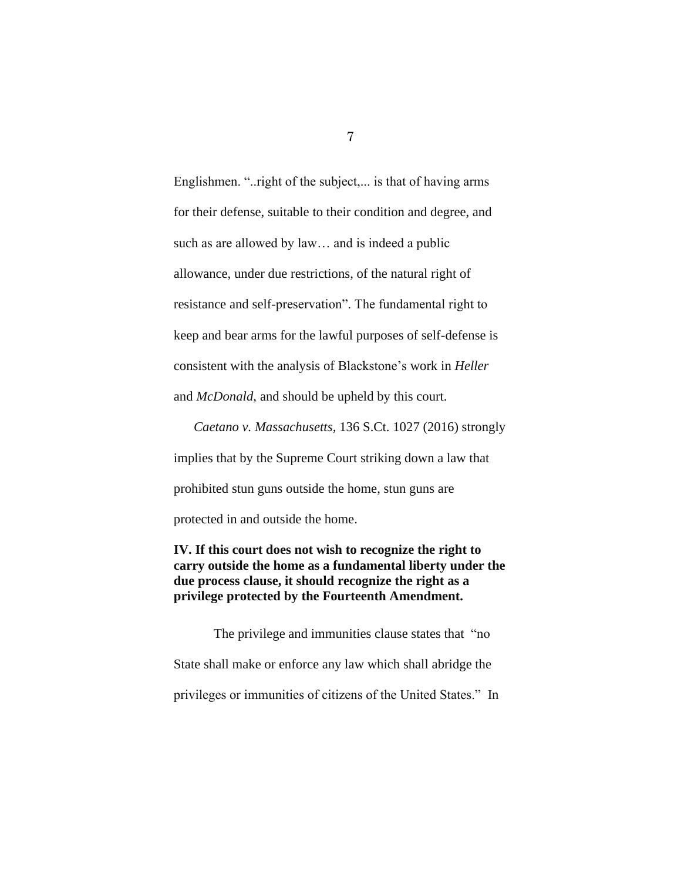Englishmen. "..right of the subject,... is that of having arms for their defense, suitable to their condition and degree, and such as are allowed by law… and is indeed a public allowance, under due restrictions, of the natural right of resistance and self-preservation". The fundamental right to keep and bear arms for the lawful purposes of self-defense is consistent with the analysis of Blackstone's work in *Heller*  and *McDonald*, and should be upheld by this court.

*Caetano v. Massachusetts,* 136 S.Ct. 1027 (2016) strongly implies that by the Supreme Court striking down a law that prohibited stun guns outside the home, stun guns are protected in and outside the home.

## <span id="page-10-0"></span>**IV. If this court does not wish to recognize the right to carry outside the home as a fundamental liberty under the due process clause, it should recognize the right as a privilege protected by the Fourteenth Amendment.**

The privilege and immunities clause states that "no State shall make or enforce any law which shall abridge the privileges or immunities of citizens of the United States." In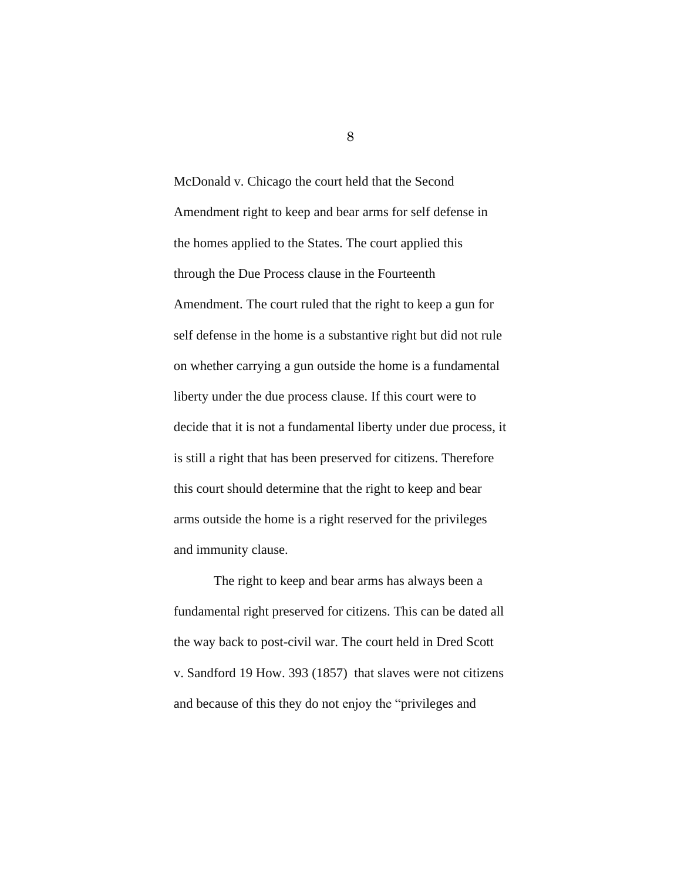McDonald v. Chicago the court held that the Second Amendment right to keep and bear arms for self defense in the homes applied to the States. The court applied this through the Due Process clause in the Fourteenth Amendment. The court ruled that the right to keep a gun for self defense in the home is a substantive right but did not rule on whether carrying a gun outside the home is a fundamental liberty under the due process clause. If this court were to decide that it is not a fundamental liberty under due process, it is still a right that has been preserved for citizens. Therefore this court should determine that the right to keep and bear arms outside the home is a right reserved for the privileges and immunity clause.

The right to keep and bear arms has always been a fundamental right preserved for citizens. This can be dated all the way back to post-civil war. The court held in Dred Scott v. Sandford 19 How. 393 (1857) that slaves were not citizens and because of this they do not enjoy the "privileges and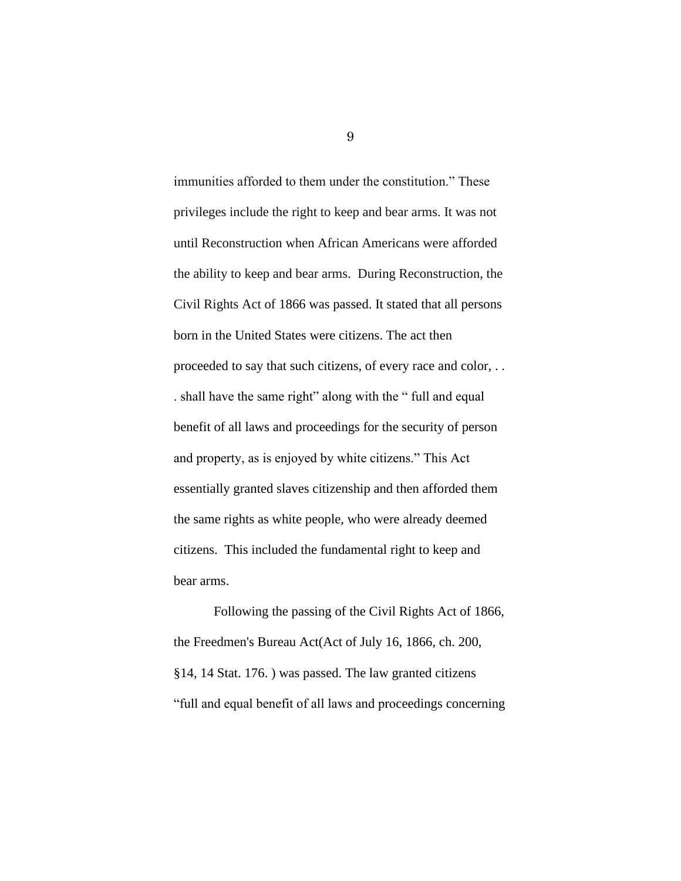immunities afforded to them under the constitution." These privileges include the right to keep and bear arms. It was not until Reconstruction when African Americans were afforded the ability to keep and bear arms. During Reconstruction, the Civil Rights Act of 1866 was passed. It stated that all persons born in the United States were citizens. The act then proceeded to say that such citizens, of every race and color, . . . shall have the same right" along with the " full and equal benefit of all laws and proceedings for the security of person and property, as is enjoyed by white citizens." This Act essentially granted slaves citizenship and then afforded them the same rights as white people, who were already deemed citizens. This included the fundamental right to keep and bear arms.

Following the passing of the Civil Rights Act of 1866, the Freedmen's Bureau Act(Act of July 16, 1866, ch. 200, §14, 14 Stat. 176. ) was passed. The law granted citizens "full and equal benefit of all laws and proceedings concerning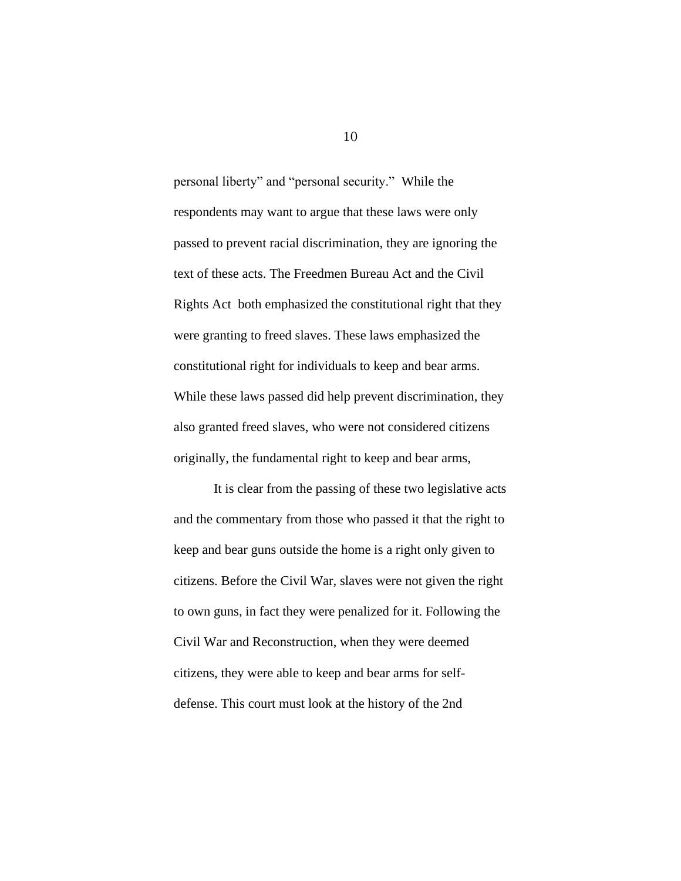personal liberty" and "personal security." While the respondents may want to argue that these laws were only passed to prevent racial discrimination, they are ignoring the text of these acts. The Freedmen Bureau Act and the Civil Rights Act both emphasized the constitutional right that they were granting to freed slaves. These laws emphasized the constitutional right for individuals to keep and bear arms. While these laws passed did help prevent discrimination, they also granted freed slaves, who were not considered citizens originally, the fundamental right to keep and bear arms,

It is clear from the passing of these two legislative acts and the commentary from those who passed it that the right to keep and bear guns outside the home is a right only given to citizens. Before the Civil War, slaves were not given the right to own guns, in fact they were penalized for it. Following the Civil War and Reconstruction, when they were deemed citizens, they were able to keep and bear arms for selfdefense. This court must look at the history of the 2nd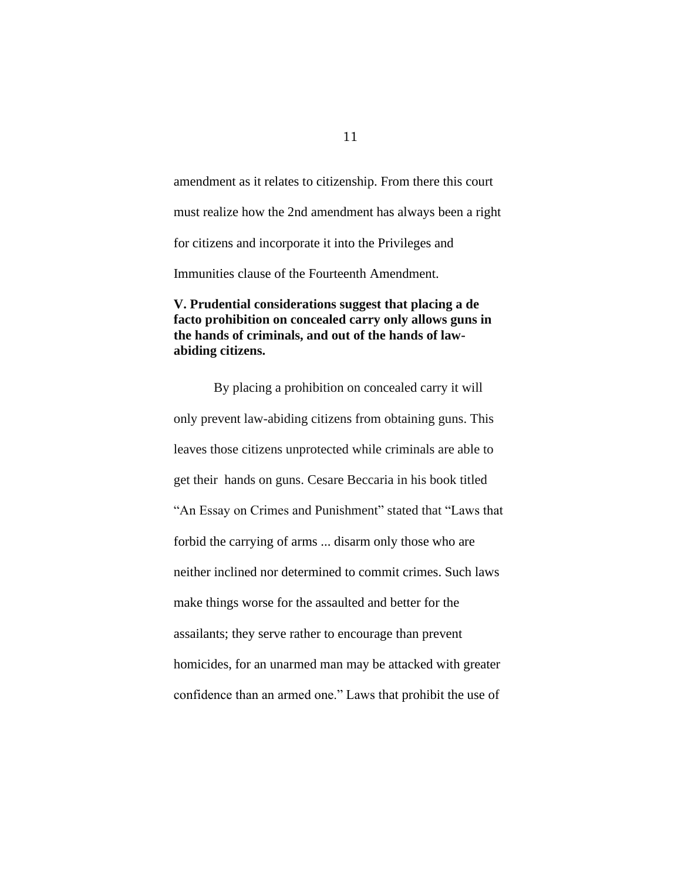amendment as it relates to citizenship. From there this court must realize how the 2nd amendment has always been a right for citizens and incorporate it into the Privileges and Immunities clause of the Fourteenth Amendment.

## <span id="page-14-0"></span>**V. Prudential considerations suggest that placing a de facto prohibition on concealed carry only allows guns in the hands of criminals, and out of the hands of lawabiding citizens.**

By placing a prohibition on concealed carry it will only prevent law-abiding citizens from obtaining guns. This leaves those citizens unprotected while criminals are able to get their hands on guns. Cesare Beccaria in his book titled "An Essay on Crimes and Punishment" stated that "Laws that forbid the carrying of arms ... disarm only those who are neither inclined nor determined to commit crimes. Such laws make things worse for the assaulted and better for the assailants; they serve rather to encourage than prevent homicides, for an unarmed man may be attacked with greater confidence than an armed one." Laws that prohibit the use of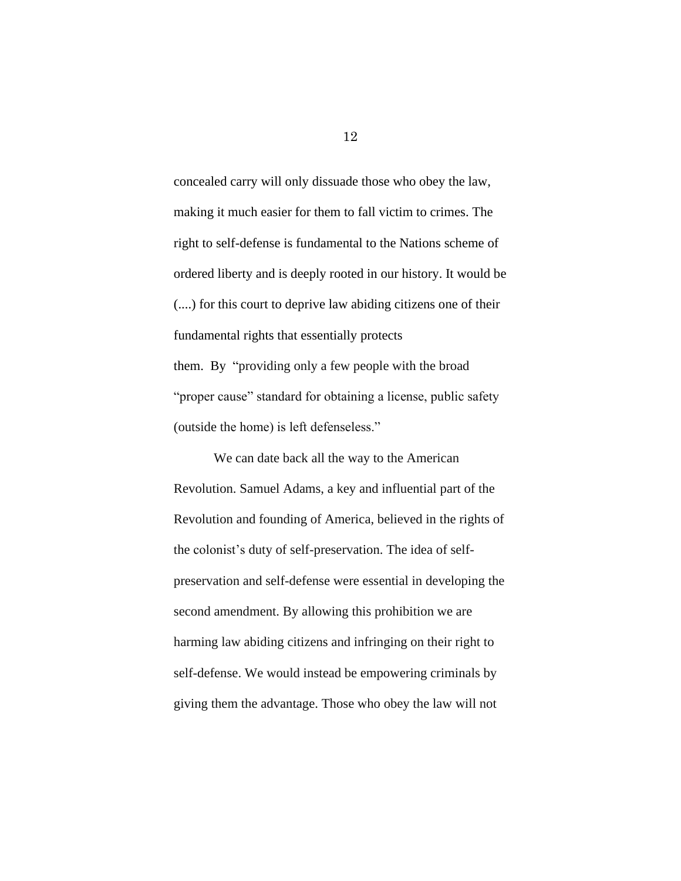concealed carry will only dissuade those who obey the law, making it much easier for them to fall victim to crimes. The right to self-defense is fundamental to the Nations scheme of ordered liberty and is deeply rooted in our history. It would be (....) for this court to deprive law abiding citizens one of their fundamental rights that essentially protects them. By "providing only a few people with the broad "proper cause" standard for obtaining a license, public safety (outside the home) is left defenseless."

We can date back all the way to the American Revolution. Samuel Adams, a key and influential part of the Revolution and founding of America, believed in the rights of the colonist's duty of self-preservation. The idea of selfpreservation and self-defense were essential in developing the second amendment. By allowing this prohibition we are harming law abiding citizens and infringing on their right to self-defense. We would instead be empowering criminals by giving them the advantage. Those who obey the law will not